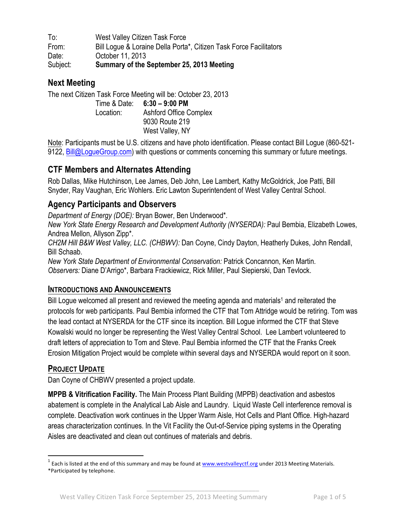To: West Valley Citizen Task Force From: Bill Logue & Loraine Della Porta\*, Citizen Task Force Facilitators Date: October 11, 2013 Subject: **Summary of the September 25, 2013 Meeting**

## **Next Meeting**

The next Citizen Task Force Meeting will be: October 23, 2013 Time & Date: **6:30 – 9:00 PM** Location: Ashford Office Complex 9030 Route 219 West Valley, NY

Note: Participants must be U.S. citizens and have photo identification. Please contact Bill Logue (860-521- 9122, Bill@LogueGroup.com) with questions or comments concerning this summary or future meetings.

# **CTF Members and Alternates Attending**

Rob Dallas, Mike Hutchinson, Lee James, Deb John, Lee Lambert, Kathy McGoldrick, Joe Patti, Bill Snyder, Ray Vaughan, Eric Wohlers. Eric Lawton Superintendent of West Valley Central School.

# **Agency Participants and Observers**

*Department of Energy (DOE):* Bryan Bower, Ben Underwood\**.* 

*New York State Energy Research and Development Authority (NYSERDA):* Paul Bembia, Elizabeth Lowes, Andrea Mellon, Allyson Zipp\*.

*CH2M Hill B&W West Valley, LLC. (CHBWV):* Dan Coyne, Cindy Dayton, Heatherly Dukes, John Rendall, Bill Schaab.

*New York State Department of Environmental Conservation:* Patrick Concannon, Ken Martin. *Observers:* Diane D'Arrigo\*, Barbara Frackiewicz, Rick Miller, Paul Siepierski, Dan Tevlock.

### **INTRODUCTIONS AND ANNOUNCEMENTS**

Bill Logue welcomed all present and reviewed the meeting agenda and materials<sup>1</sup> and reiterated the protocols for web participants. Paul Bembia informed the CTF that Tom Attridge would be retiring. Tom was the lead contact at NYSERDA for the CTF since its inception. Bill Logue informed the CTF that Steve Kowalski would no longer be representing the West Valley Central School. Lee Lambert volunteered to draft letters of appreciation to Tom and Steve. Paul Bembia informed the CTF that the Franks Creek Erosion Mitigation Project would be complete within several days and NYSERDA would report on it soon.

### **PROJECT UPDATE**

Dan Coyne of CHBWV presented a project update.

**MPPB & Vitrification Facility.** The Main Process Plant Building (MPPB) deactivation and asbestos abatement is complete in the Analytical Lab Aisle and Laundry. Liquid Waste Cell interference removal is complete. Deactivation work continues in the Upper Warm Aisle, Hot Cells and Plant Office. High-hazard areas characterization continues. In the Vit Facility the Out-of-Service piping systems in the Operating Aisles are deactivated and clean out continues of materials and debris.

 $1$  Each is listed at the end of this summary and may be found at www.westvalleyctf.org under 2013 Meeting Materials.

<sup>\*</sup>Participated by telephone.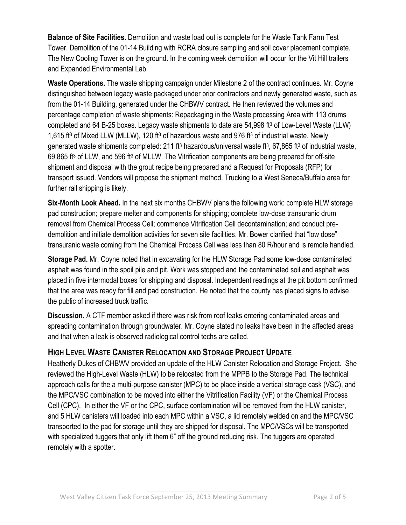**Balance of Site Facilities.** Demolition and waste load out is complete for the Waste Tank Farm Test Tower. Demolition of the 01-14 Building with RCRA closure sampling and soil cover placement complete. The New Cooling Tower is on the ground. In the coming week demolition will occur for the Vit Hill trailers and Expanded Environmental Lab.

**Waste Operations.** The waste shipping campaign under Milestone 2 of the contract continues. Mr. Coyne distinguished between legacy waste packaged under prior contractors and newly generated waste, such as from the 01-14 Building, generated under the CHBWV contract. He then reviewed the volumes and percentage completion of waste shipments: Repackaging in the Waste processing Area with 113 drums completed and 64 B-25 boxes. Legacy waste shipments to date are 54,998 ft<sup>3</sup> of Low-Level Waste (LLW) 1,615 ft3 of Mixed LLW (MLLW), 120 ft3 of hazardous waste and 976 ft3 of industrial waste. Newly generated waste shipments completed: 211 ft<sup>3</sup> hazardous/universal waste ft<sup>3</sup>, 67,865 ft<sup>3</sup> of industrial waste, 69,865 ft3 of LLW, and 596 ft3 of MLLW. The Vitrification components are being prepared for off-site shipment and disposal with the grout recipe being prepared and a Request for Proposals (RFP) for transport issued. Vendors will propose the shipment method. Trucking to a West Seneca/Buffalo area for further rail shipping is likely.

**Six-Month Look Ahead.** In the next six months CHBWV plans the following work: complete HLW storage pad construction; prepare melter and components for shipping; complete low-dose transuranic drum removal from Chemical Process Cell; commence Vitrification Cell decontamination; and conduct predemolition and initiate demolition activities for seven site facilities. Mr. Bower clarified that "low dose" transuranic waste coming from the Chemical Process Cell was less than 80 R/hour and is remote handled.

**Storage Pad.** Mr. Coyne noted that in excavating for the HLW Storage Pad some low-dose contaminated asphalt was found in the spoil pile and pit. Work was stopped and the contaminated soil and asphalt was placed in five intermodal boxes for shipping and disposal. Independent readings at the pit bottom confirmed that the area was ready for fill and pad construction. He noted that the county has placed signs to advise the public of increased truck traffic.

**Discussion.** A CTF member asked if there was risk from roof leaks entering contaminated areas and spreading contamination through groundwater. Mr. Coyne stated no leaks have been in the affected areas and that when a leak is observed radiological control techs are called.

## **HIGH LEVEL WASTE CANISTER RELOCATION AND STORAGE PROJECT UPDATE**

Heatherly Dukes of CHBWV provided an update of the HLW Canister Relocation and Storage Project. She reviewed the High-Level Waste (HLW) to be relocated from the MPPB to the Storage Pad. The technical approach calls for the a multi-purpose canister (MPC) to be place inside a vertical storage cask (VSC), and the MPC/VSC combination to be moved into either the Vitrification Facility (VF) or the Chemical Process Cell (CPC). In either the VF or the CPC, surface contamination will be removed from the HLW canister, and 5 HLW canisters will loaded into each MPC within a VSC, a lid remotely welded on and the MPC/VSC transported to the pad for storage until they are shipped for disposal. The MPC/VSCs will be transported with specialized tuggers that only lift them 6" off the ground reducing risk. The tuggers are operated remotely with a spotter.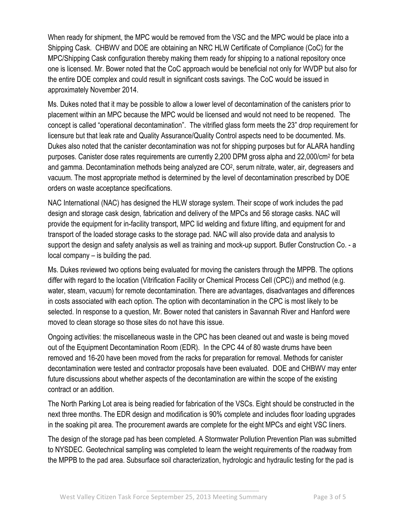When ready for shipment, the MPC would be removed from the VSC and the MPC would be place into a Shipping Cask. CHBWV and DOE are obtaining an NRC HLW Certificate of Compliance (CoC) for the MPC/Shipping Cask configuration thereby making them ready for shipping to a national repository once one is licensed. Mr. Bower noted that the CoC approach would be beneficial not only for WVDP but also for the entire DOE complex and could result in significant costs savings. The CoC would be issued in approximately November 2014.

Ms. Dukes noted that it may be possible to allow a lower level of decontamination of the canisters prior to placement within an MPC because the MPC would be licensed and would not need to be reopened. The concept is called "operational decontamination". The vitrified glass form meets the 23" drop requirement for licensure but that leak rate and Quality Assurance/Quality Control aspects need to be documented. Ms. Dukes also noted that the canister decontamination was not for shipping purposes but for ALARA handling purposes. Canister dose rates requirements are currently 2,200 DPM gross alpha and 22,000/cm2 for beta and gamma. Decontamination methods being analyzed are CO<sup>2</sup>, serum nitrate, water, air, degreasers and vacuum. The most appropriate method is determined by the level of decontamination prescribed by DOE orders on waste acceptance specifications.

NAC International (NAC) has designed the HLW storage system. Their scope of work includes the pad design and storage cask design, fabrication and delivery of the MPCs and 56 storage casks. NAC will provide the equipment for in-facility transport, MPC lid welding and fixture lifting, and equipment for and transport of the loaded storage casks to the storage pad. NAC will also provide data and analysis to support the design and safety analysis as well as training and mock-up support. Butler Construction Co. - a local company – is building the pad.

Ms. Dukes reviewed two options being evaluated for moving the canisters through the MPPB. The options differ with regard to the location (Vitrification Facility or Chemical Process Cell (CPC)) and method (e.g. water, steam, vacuum) for remote decontamination. There are advantages, disadvantages and differences in costs associated with each option. The option with decontamination in the CPC is most likely to be selected. In response to a question, Mr. Bower noted that canisters in Savannah River and Hanford were moved to clean storage so those sites do not have this issue.

Ongoing activities: the miscellaneous waste in the CPC has been cleaned out and waste is being moved out of the Equipment Decontamination Room (EDR). In the CPC 44 of 80 waste drums have been removed and 16-20 have been moved from the racks for preparation for removal. Methods for canister decontamination were tested and contractor proposals have been evaluated. DOE and CHBWV may enter future discussions about whether aspects of the decontamination are within the scope of the existing contract or an addition.

The North Parking Lot area is being readied for fabrication of the VSCs. Eight should be constructed in the next three months. The EDR design and modification is 90% complete and includes floor loading upgrades in the soaking pit area. The procurement awards are complete for the eight MPCs and eight VSC liners.

The design of the storage pad has been completed. A Stormwater Pollution Prevention Plan was submitted to NYSDEC. Geotechnical sampling was completed to learn the weight requirements of the roadway from the MPPB to the pad area. Subsurface soil characterization, hydrologic and hydraulic testing for the pad is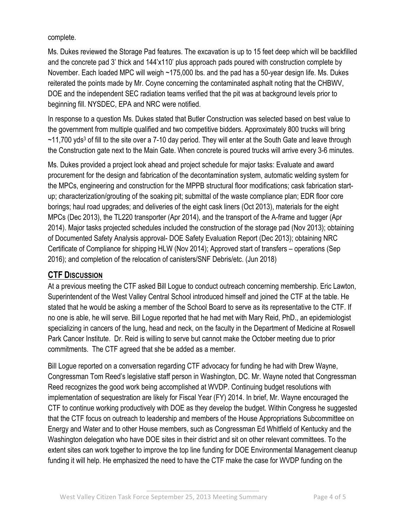complete.

Ms. Dukes reviewed the Storage Pad features. The excavation is up to 15 feet deep which will be backfilled and the concrete pad 3' thick and 144'x110' plus approach pads poured with construction complete by November. Each loaded MPC will weigh ~175,000 lbs. and the pad has a 50-year design life. Ms. Dukes reiterated the points made by Mr. Coyne concerning the contaminated asphalt noting that the CHBWV, DOE and the independent SEC radiation teams verified that the pit was at background levels prior to beginning fill. NYSDEC, EPA and NRC were notified.

In response to a question Ms. Dukes stated that Butler Construction was selected based on best value to the government from multiple qualified and two competitive bidders. Approximately 800 trucks will bring ~11,700 yds<sup>3</sup> of fill to the site over a 7-10 day period. They will enter at the South Gate and leave through the Construction gate next to the Main Gate. When concrete is poured trucks will arrive every 3-6 minutes.

Ms. Dukes provided a project look ahead and project schedule for major tasks: Evaluate and award procurement for the design and fabrication of the decontamination system, automatic welding system for the MPCs, engineering and construction for the MPPB structural floor modifications; cask fabrication startup; characterization/grouting of the soaking pit; submittal of the waste compliance plan; EDR floor core borings; haul road upgrades; and deliveries of the eight cask liners (Oct 2013), materials for the eight MPCs (Dec 2013), the TL220 transporter (Apr 2014), and the transport of the A-frame and tugger (Apr 2014). Major tasks projected schedules included the construction of the storage pad (Nov 2013); obtaining of Documented Safety Analysis approval- DOE Safety Evaluation Report (Dec 2013); obtaining NRC Certificate of Compliance for shipping HLW (Nov 2014); Approved start of transfers – operations (Sep 2016); and completion of the relocation of canisters/SNF Debris/etc. (Jun 2018)

### **CTF DISCUSSION**

At a previous meeting the CTF asked Bill Logue to conduct outreach concerning membership. Eric Lawton, Superintendent of the West Valley Central School introduced himself and joined the CTF at the table. He stated that he would be asking a member of the School Board to serve as its representative to the CTF. If no one is able, he will serve. Bill Logue reported that he had met with Mary Reid, PhD., an epidemiologist specializing in cancers of the lung, head and neck, on the faculty in the Department of Medicine at Roswell Park Cancer Institute. Dr. Reid is willing to serve but cannot make the October meeting due to prior commitments. The CTF agreed that she be added as a member.

Bill Logue reported on a conversation regarding CTF advocacy for funding he had with Drew Wayne, Congressman Tom Reed's legislative staff person in Washington, DC. Mr. Wayne noted that Congressman Reed recognizes the good work being accomplished at WVDP. Continuing budget resolutions with implementation of sequestration are likely for Fiscal Year (FY) 2014. In brief, Mr. Wayne encouraged the CTF to continue working productively with DOE as they develop the budget. Within Congress he suggested that the CTF focus on outreach to leadership and members of the House Appropriations Subcommittee on Energy and Water and to other House members, such as Congressman Ed Whitfield of Kentucky and the Washington delegation who have DOE sites in their district and sit on other relevant committees. To the extent sites can work together to improve the top line funding for DOE Environmental Management cleanup funding it will help. He emphasized the need to have the CTF make the case for WVDP funding on the